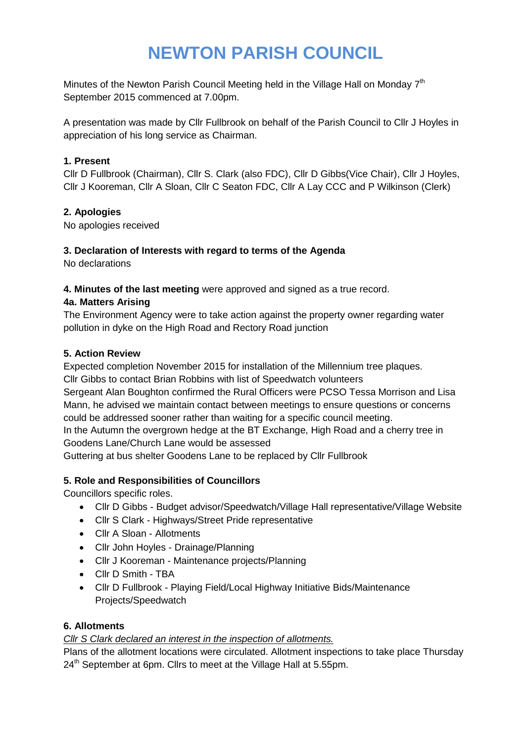# **NEWTON PARISH COUNCIL**

Minutes of the Newton Parish Council Meeting held in the Village Hall on Monday  $7<sup>th</sup>$ September 2015 commenced at 7.00pm.

A presentation was made by Cllr Fullbrook on behalf of the Parish Council to Cllr J Hoyles in appreciation of his long service as Chairman.

### **1. Present**

Cllr D Fullbrook (Chairman), Cllr S. Clark (also FDC), Cllr D Gibbs(Vice Chair), Cllr J Hoyles, Cllr J Kooreman, Cllr A Sloan, Cllr C Seaton FDC, Cllr A Lay CCC and P Wilkinson (Clerk)

# **2. Apologies**

No apologies received

#### **3. Declaration of Interests with regard to terms of the Agenda**

No declarations

#### **4. Minutes of the last meeting** were approved and signed as a true record.

#### **4a. Matters Arising**

The Environment Agency were to take action against the property owner regarding water pollution in dyke on the High Road and Rectory Road junction

#### **5. Action Review**

Expected completion November 2015 for installation of the Millennium tree plaques. Cllr Gibbs to contact Brian Robbins with list of Speedwatch volunteers

Sergeant Alan Boughton confirmed the Rural Officers were PCSO Tessa Morrison and Lisa Mann, he advised we maintain contact between meetings to ensure questions or concerns could be addressed sooner rather than waiting for a specific council meeting.

In the Autumn the overgrown hedge at the BT Exchange, High Road and a cherry tree in Goodens Lane/Church Lane would be assessed

Guttering at bus shelter Goodens Lane to be replaced by Cllr Fullbrook

# **5. Role and Responsibilities of Councillors**

Councillors specific roles.

- Cllr D Gibbs Budget advisor/Speedwatch/Village Hall representative/Village Website
- Cllr S Clark Highways/Street Pride representative
- Cllr A Sloan Allotments
- Cllr John Hoyles Drainage/Planning
- Cllr J Kooreman Maintenance projects/Planning
- Cllr D Smith TBA
- Cllr D Fullbrook Playing Field/Local Highway Initiative Bids/Maintenance Projects/Speedwatch

#### **6. Allotments**

#### *Cllr S Clark declared an interest in the inspection of allotments.*

Plans of the allotment locations were circulated. Allotment inspections to take place Thursday  $24<sup>th</sup>$  September at 6pm. Cllrs to meet at the Village Hall at 5.55pm.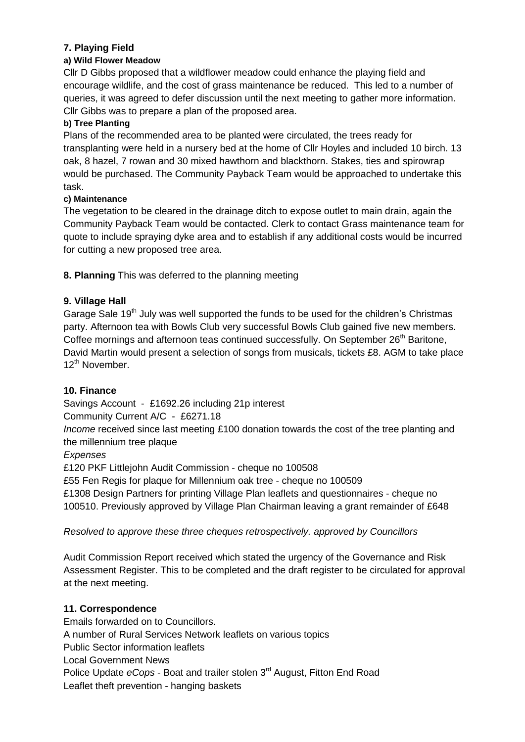# **7. Playing Field**

#### **a) Wild Flower Meadow**

Cllr D Gibbs proposed that a wildflower meadow could enhance the playing field and encourage wildlife, and the cost of grass maintenance be reduced. This led to a number of queries, it was agreed to defer discussion until the next meeting to gather more information. Cllr Gibbs was to prepare a plan of the proposed area.

#### **b) Tree Planting**

Plans of the recommended area to be planted were circulated, the trees ready for transplanting were held in a nursery bed at the home of Cllr Hoyles and included 10 birch. 13 oak, 8 hazel, 7 rowan and 30 mixed hawthorn and blackthorn. Stakes, ties and spirowrap would be purchased. The Community Payback Team would be approached to undertake this task.

#### **c) Maintenance**

The vegetation to be cleared in the drainage ditch to expose outlet to main drain, again the Community Payback Team would be contacted. Clerk to contact Grass maintenance team for quote to include spraying dyke area and to establish if any additional costs would be incurred for cutting a new proposed tree area.

**8. Planning** This was deferred to the planning meeting

#### **9. Village Hall**

Garage Sale 19<sup>th</sup> July was well supported the funds to be used for the children's Christmas party. Afternoon tea with Bowls Club very successful Bowls Club gained five new members. Coffee mornings and afternoon teas continued successfully. On September 26<sup>th</sup> Baritone, David Martin would present a selection of songs from musicals, tickets £8. AGM to take place 12<sup>th</sup> November.

#### **10. Finance**

Savings Account - £1692.26 including 21p interest

Community Current A/C - £6271.18

*Income* received since last meeting £100 donation towards the cost of the tree planting and the millennium tree plaque

#### *Expenses*

£120 PKF Littlejohn Audit Commission - cheque no 100508

£55 Fen Regis for plaque for Millennium oak tree - cheque no 100509

£1308 Design Partners for printing Village Plan leaflets and questionnaires - cheque no 100510. Previously approved by Village Plan Chairman leaving a grant remainder of £648

*Resolved to approve these three cheques retrospectively. approved by Councillors*

Audit Commission Report received which stated the urgency of the Governance and Risk Assessment Register. This to be completed and the draft register to be circulated for approval at the next meeting.

#### **11. Correspondence**

Emails forwarded on to Councillors. A number of Rural Services Network leaflets on various topics Public Sector information leaflets Local Government News Police Update *eCops* - Boat and trailer stolen 3<sup>rd</sup> August, Fitton End Road Leaflet theft prevention - hanging baskets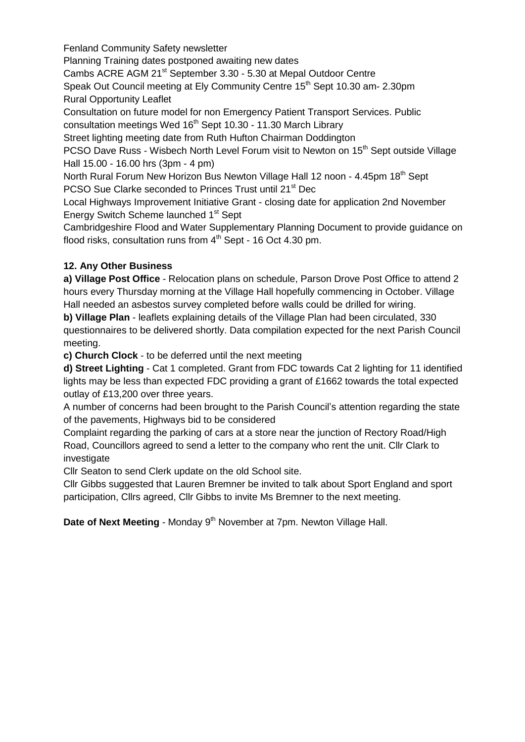Fenland Community Safety newsletter Planning Training dates postponed awaiting new dates Cambs ACRE AGM 21<sup>st</sup> September 3.30 - 5.30 at Mepal Outdoor Centre Speak Out Council meeting at Ely Community Centre 15<sup>th</sup> Sept 10.30 am- 2.30pm Rural Opportunity Leaflet Consultation on future model for non Emergency Patient Transport Services. Public consultation meetings Wed 16<sup>th</sup> Sept 10.30 - 11.30 March Library Street lighting meeting date from Ruth Hufton Chairman Doddington PCSO Dave Russ - Wisbech North Level Forum visit to Newton on 15<sup>th</sup> Sept outside Village Hall 15.00 - 16.00 hrs (3pm - 4 pm) North Rural Forum New Horizon Bus Newton Village Hall 12 noon - 4.45pm 18<sup>th</sup> Sept PCSO Sue Clarke seconded to Princes Trust until 21<sup>st</sup> Dec Local Highways Improvement Initiative Grant - closing date for application 2nd November Energy Switch Scheme launched 1<sup>st</sup> Sept Cambridgeshire Flood and Water Supplementary Planning Document to provide guidance on flood risks, consultation runs from  $4<sup>th</sup>$  Sept - 16 Oct 4.30 pm.

# **12. Any Other Business**

**a) Village Post Office** - Relocation plans on schedule, Parson Drove Post Office to attend 2 hours every Thursday morning at the Village Hall hopefully commencing in October. Village Hall needed an asbestos survey completed before walls could be drilled for wiring.

**b) Village Plan** - leaflets explaining details of the Village Plan had been circulated, 330 questionnaires to be delivered shortly. Data compilation expected for the next Parish Council meeting.

**c) Church Clock** - to be deferred until the next meeting

**d) Street Lighting** - Cat 1 completed. Grant from FDC towards Cat 2 lighting for 11 identified lights may be less than expected FDC providing a grant of £1662 towards the total expected outlay of £13,200 over three years.

A number of concerns had been brought to the Parish Council's attention regarding the state of the pavements, Highways bid to be considered

Complaint regarding the parking of cars at a store near the junction of Rectory Road/High Road, Councillors agreed to send a letter to the company who rent the unit. Cllr Clark to investigate

Cllr Seaton to send Clerk update on the old School site.

Cllr Gibbs suggested that Lauren Bremner be invited to talk about Sport England and sport participation, Cllrs agreed, Cllr Gibbs to invite Ms Bremner to the next meeting.

**Date of Next Meeting** - Monday 9<sup>th</sup> November at 7pm. Newton Village Hall.